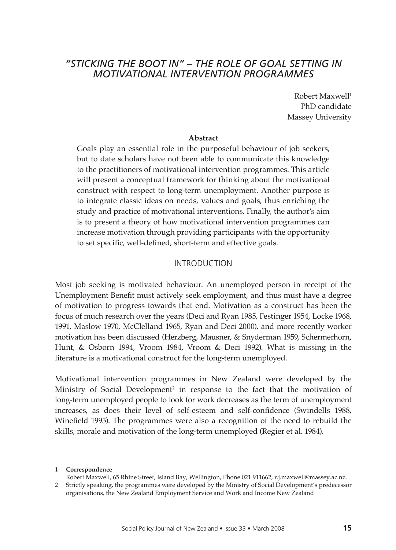# *"STICKING THE BOOT IN" – THE ROLE OF GOAL SETTING IN MOTIVATIONAL INTERVENTION PROGRAMMES*

Robert Maxwell<sup>1</sup> PhD candidate Massey University

#### **Abstract**

Goals play an essential role in the purposeful behaviour of job seekers, but to date scholars have not been able to communicate this knowledge to the practitioners of motivational intervention programmes. This article will present a conceptual framework for thinking about the motivational construct with respect to long-term unemployment. Another purpose is to integrate classic ideas on needs, values and goals, thus enriching the study and practice of motivational interventions. Finally, the author's aim is to present a theory of how motivational intervention programmes can increase motivation through providing participants with the opportunity to set specific, well-defined, short-term and effective goals.

## INTRODUCTION

Most job seeking is motivated behaviour. An unemployed person in receipt of the Unemployment Benefit must actively seek employment, and thus must have a degree of motivation to progress towards that end. Motivation as a construct has been the focus of much research over the years (Deci and Ryan 1985, Festinger 1954, Locke 1968, 1991, Maslow 1970, McClelland 1965, Ryan and Deci 2000), and more recently worker motivation has been discussed (Herzberg, Mausner, & Snyderman 1959, Schermerhorn, Hunt, & Osborn 1994, Vroom 1984, Vroom & Deci 1992). What is missing in the literature is a motivational construct for the long-term unemployed.

Motivational intervention programmes in New Zealand were developed by the Ministry of Social Development<sup>2</sup> in response to the fact that the motivation of long-term unemployed people to look for work decreases as the term of unemployment increases, as does their level of self-esteem and self-confidence (Swindells 1988, Winefield 1995). The programmes were also a recognition of the need to rebuild the skills, morale and motivation of the long-term unemployed (Regier et al. 1984).

<sup>1</sup> **Correspondence**

Robert Maxwell, 65 Rhine Street, Island Bay, Wellington, Phone 021 911662, r.j.maxwell@massey.ac.nz.

<sup>2</sup> Strictly speaking, the programmes were developed by the Ministry of Social Development's predecessor organisations, the New Zealand Employment Service and Work and Income New Zealand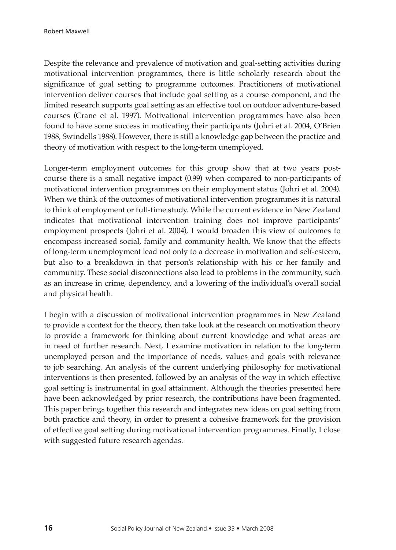Despite the relevance and prevalence of motivation and goal-setting activities during motivational intervention programmes, there is little scholarly research about the significance of goal setting to programme outcomes. Practitioners of motivational intervention deliver courses that include goal setting as a course component, and the limited research supports goal setting as an effective tool on outdoor adventure-based courses (Crane et al. 1997). Motivational intervention programmes have also been found to have some success in motivating their participants (Johri et al. 2004, O'Brien 1988, Swindells 1988). However, there is still a knowledge gap between the practice and theory of motivation with respect to the long-term unemployed.

Longer-term employment outcomes for this group show that at two years postcourse there is a small negative impact (0.99) when compared to non-participants of motivational intervention programmes on their employment status (Johri et al. 2004). When we think of the outcomes of motivational intervention programmes it is natural to think of employment or full-time study. While the current evidence in New Zealand indicates that motivational intervention training does not improve participants' employment prospects (Johri et al. 2004), I would broaden this view of outcomes to encompass increased social, family and community health. We know that the effects of long-term unemployment lead not only to a decrease in motivation and self-esteem, but also to a breakdown in that person's relationship with his or her family and community. These social disconnections also lead to problems in the community, such as an increase in crime, dependency, and a lowering of the individual's overall social and physical health.

I begin with a discussion of motivational intervention programmes in New Zealand to provide a context for the theory, then take look at the research on motivation theory to provide a framework for thinking about current knowledge and what areas are in need of further research. Next, I examine motivation in relation to the long-term unemployed person and the importance of needs, values and goals with relevance to job searching. An analysis of the current underlying philosophy for motivational interventions is then presented, followed by an analysis of the way in which effective goal setting is instrumental in goal attainment. Although the theories presented here have been acknowledged by prior research, the contributions have been fragmented. This paper brings together this research and integrates new ideas on goal setting from both practice and theory, in order to present a cohesive framework for the provision of effective goal setting during motivational intervention programmes. Finally, I close with suggested future research agendas.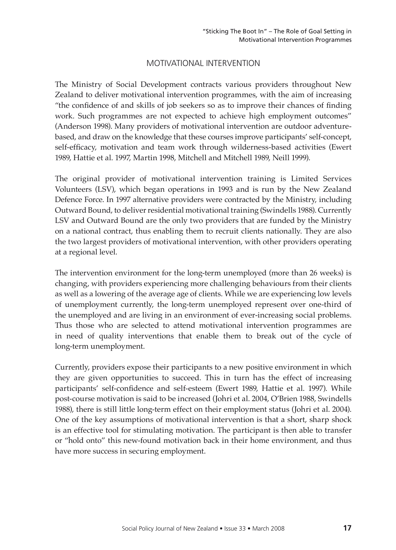## MOTIVATIONAL INTERVENTION

The Ministry of Social Development contracts various providers throughout New Zealand to deliver motivational intervention programmes, with the aim of increasing "the confidence of and skills of job seekers so as to improve their chances of finding work. Such programmes are not expected to achieve high employment outcomes" (Anderson 1998). Many providers of motivational intervention are outdoor adventurebased, and draw on the knowledge that these courses improve participants' self-concept, self-efficacy, motivation and team work through wilderness-based activities (Ewert 1989, Hattie et al. 1997, Martin 1998, Mitchell and Mitchell 1989, Neill 1999).

The original provider of motivational intervention training is Limited Services Volunteers (LSV), which began operations in 1993 and is run by the New Zealand Defence Force. In 1997 alternative providers were contracted by the Ministry, including Outward Bound, to deliver residential motivational training (Swindells 1988). Currently LSV and Outward Bound are the only two providers that are funded by the Ministry on a national contract, thus enabling them to recruit clients nationally. They are also the two largest providers of motivational intervention, with other providers operating at a regional level.

The intervention environment for the long-term unemployed (more than 26 weeks) is changing, with providers experiencing more challenging behaviours from their clients as well as a lowering of the average age of clients. While we are experiencing low levels of unemployment currently, the long-term unemployed represent over one-third of the unemployed and are living in an environment of ever-increasing social problems. Thus those who are selected to attend motivational intervention programmes are in need of quality interventions that enable them to break out of the cycle of long-term unemployment.

Currently, providers expose their participants to a new positive environment in which they are given opportunities to succeed. This in turn has the effect of increasing participants' self-confidence and self-esteem (Ewert 1989, Hattie et al. 1997). While post-course motivation is said to be increased (Johri et al. 2004, O'Brien 1988, Swindells 1988), there is still little long-term effect on their employment status (Johri et al. 2004). One of the key assumptions of motivational intervention is that a short, sharp shock is an effective tool for stimulating motivation. The participant is then able to transfer or "hold onto" this new-found motivation back in their home environment, and thus have more success in securing employment.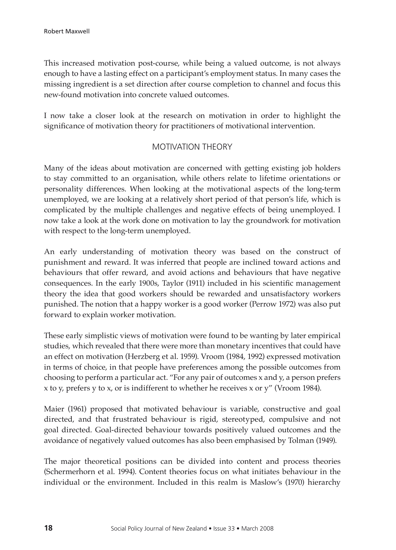This increased motivation post-course, while being a valued outcome, is not always enough to have a lasting effect on a participant's employment status. In many cases the missing ingredient is a set direction after course completion to channel and focus this new-found motivation into concrete valued outcomes.

I now take a closer look at the research on motivation in order to highlight the significance of motivation theory for practitioners of motivational intervention.

# MOTIVATION THEORY

Many of the ideas about motivation are concerned with getting existing job holders to stay committed to an organisation, while others relate to lifetime orientations or personality differences. When looking at the motivational aspects of the long-term unemployed, we are looking at a relatively short period of that person's life, which is complicated by the multiple challenges and negative effects of being unemployed. I now take a look at the work done on motivation to lay the groundwork for motivation with respect to the long-term unemployed.

An early understanding of motivation theory was based on the construct of punishment and reward. It was inferred that people are inclined toward actions and behaviours that offer reward, and avoid actions and behaviours that have negative consequences. In the early 1900s, Taylor (1911) included in his scientific management theory the idea that good workers should be rewarded and unsatisfactory workers punished. The notion that a happy worker is a good worker (Perrow 1972) was also put forward to explain worker motivation.

These early simplistic views of motivation were found to be wanting by later empirical studies, which revealed that there were more than monetary incentives that could have an effect on motivation (Herzberg et al. 1959). Vroom (1984, 1992) expressed motivation in terms of choice, in that people have preferences among the possible outcomes from choosing to perform a particular act. "For any pair of outcomes x and y, a person prefers x to y, prefers y to x, or is indifferent to whether he receives x or y" (Vroom 1984).

Maier (1961) proposed that motivated behaviour is variable, constructive and goal directed, and that frustrated behaviour is rigid, stereotyped, compulsive and not goal directed. Goal-directed behaviour towards positively valued outcomes and the avoidance of negatively valued outcomes has also been emphasised by Tolman (1949).

The major theoretical positions can be divided into content and process theories (Schermerhorn et al. 1994). Content theories focus on what initiates behaviour in the individual or the environment. Included in this realm is Maslow's (1970) hierarchy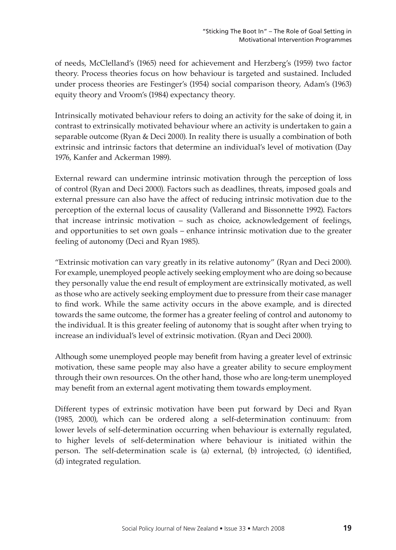of needs, McClelland's (1965) need for achievement and Herzberg's (1959) two factor theory. Process theories focus on how behaviour is targeted and sustained. Included under process theories are Festinger's (1954) social comparison theory, Adam's (1963) equity theory and Vroom's (1984) expectancy theory.

Intrinsically motivated behaviour refers to doing an activity for the sake of doing it, in contrast to extrinsically motivated behaviour where an activity is undertaken to gain a separable outcome (Ryan & Deci 2000). In reality there is usually a combination of both extrinsic and intrinsic factors that determine an individual's level of motivation (Day 1976, Kanfer and Ackerman 1989).

External reward can undermine intrinsic motivation through the perception of loss of control (Ryan and Deci 2000). Factors such as deadlines, threats, imposed goals and external pressure can also have the affect of reducing intrinsic motivation due to the perception of the external locus of causality (Vallerand and Bissonnette 1992). Factors that increase intrinsic motivation – such as choice, acknowledgement of feelings, and opportunities to set own goals – enhance intrinsic motivation due to the greater feeling of autonomy (Deci and Ryan 1985).

"Extrinsic motivation can vary greatly in its relative autonomy" (Ryan and Deci 2000). For example, unemployed people actively seeking employment who are doing so because they personally value the end result of employment are extrinsically motivated, as well as those who are actively seeking employment due to pressure from their case manager to find work. While the same activity occurs in the above example, and is directed towards the same outcome, the former has a greater feeling of control and autonomy to the individual. It is this greater feeling of autonomy that is sought after when trying to increase an individual's level of extrinsic motivation. (Ryan and Deci 2000).

Although some unemployed people may benefit from having a greater level of extrinsic motivation, these same people may also have a greater ability to secure employment through their own resources. On the other hand, those who are long-term unemployed may benefit from an external agent motivating them towards employment.

Different types of extrinsic motivation have been put forward by Deci and Ryan (1985, 2000), which can be ordered along a self-determination continuum: from lower levels of self-determination occurring when behaviour is externally regulated, to higher levels of self-determination where behaviour is initiated within the person. The self-determination scale is (a) external, (b) introjected, (c) identified, (d) integrated regulation.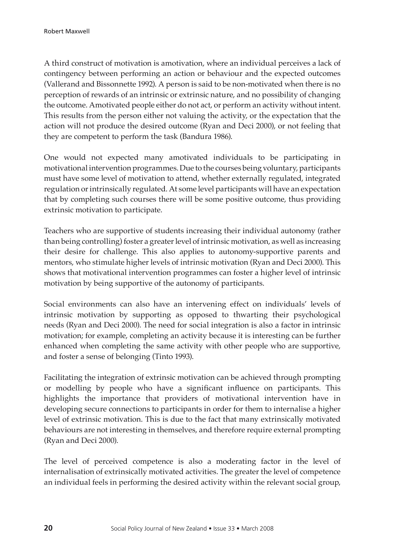A third construct of motivation is amotivation, where an individual perceives a lack of contingency between performing an action or behaviour and the expected outcomes (Vallerand and Bissonnette 1992). A person is said to be non-motivated when there is no perception of rewards of an intrinsic or extrinsic nature, and no possibility of changing the outcome. Amotivated people either do not act, or perform an activity without intent. This results from the person either not valuing the activity, or the expectation that the action will not produce the desired outcome (Ryan and Deci 2000), or not feeling that they are competent to perform the task (Bandura 1986).

One would not expected many amotivated individuals to be participating in motivational intervention programmes. Due to the courses being voluntary, participants must have some level of motivation to attend, whether externally regulated, integrated regulation or intrinsically regulated. At some level participants will have an expectation that by completing such courses there will be some positive outcome, thus providing extrinsic motivation to participate.

Teachers who are supportive of students increasing their individual autonomy (rather than being controlling) foster a greater level of intrinsic motivation, as well as increasing their desire for challenge. This also applies to autonomy-supportive parents and mentors, who stimulate higher levels of intrinsic motivation (Ryan and Deci 2000). This shows that motivational intervention programmes can foster a higher level of intrinsic motivation by being supportive of the autonomy of participants.

Social environments can also have an intervening effect on individuals' levels of intrinsic motivation by supporting as opposed to thwarting their psychological needs (Ryan and Deci 2000). The need for social integration is also a factor in intrinsic motivation; for example, completing an activity because it is interesting can be further enhanced when completing the same activity with other people who are supportive, and foster a sense of belonging (Tinto 1993).

Facilitating the integration of extrinsic motivation can be achieved through prompting or modelling by people who have a significant influence on participants. This highlights the importance that providers of motivational intervention have in developing secure connections to participants in order for them to internalise a higher level of extrinsic motivation. This is due to the fact that many extrinsically motivated behaviours are not interesting in themselves, and therefore require external prompting (Ryan and Deci 2000).

The level of perceived competence is also a moderating factor in the level of internalisation of extrinsically motivated activities. The greater the level of competence an individual feels in performing the desired activity within the relevant social group,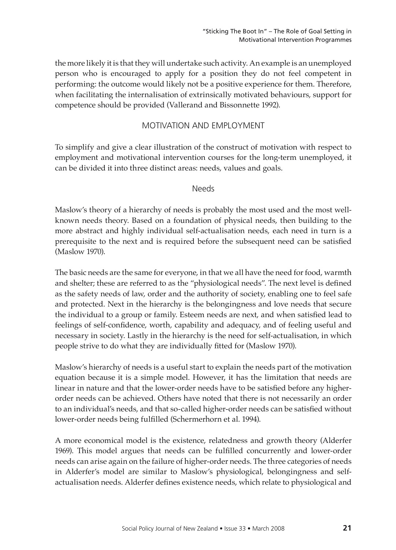the more likely it is that they will undertake such activity. An example is an unemployed person who is encouraged to apply for a position they do not feel competent in performing: the outcome would likely not be a positive experience for them. Therefore, when facilitating the internalisation of extrinsically motivated behaviours, support for competence should be provided (Vallerand and Bissonnette 1992).

# MOTIVATION AND EMPLOYMENT

To simplify and give a clear illustration of the construct of motivation with respect to employment and motivational intervention courses for the long-term unemployed, it can be divided it into three distinct areas: needs, values and goals.

#### Needs

Maslow's theory of a hierarchy of needs is probably the most used and the most wellknown needs theory. Based on a foundation of physical needs, then building to the more abstract and highly individual self-actualisation needs, each need in turn is a prerequisite to the next and is required before the subsequent need can be satisfied (Maslow 1970).

The basic needs are the same for everyone, in that we all have the need for food, warmth and shelter; these are referred to as the "physiological needs". The next level is defined as the safety needs of law, order and the authority of society, enabling one to feel safe and protected. Next in the hierarchy is the belongingness and love needs that secure the individual to a group or family. Esteem needs are next, and when satisfied lead to feelings of self-confidence, worth, capability and adequacy, and of feeling useful and necessary in society. Lastly in the hierarchy is the need for self-actualisation, in which people strive to do what they are individually fitted for (Maslow 1970).

Maslow's hierarchy of needs is a useful start to explain the needs part of the motivation equation because it is a simple model. However, it has the limitation that needs are linear in nature and that the lower-order needs have to be satisfied before any higherorder needs can be achieved. Others have noted that there is not necessarily an order to an individual's needs, and that so-called higher-order needs can be satisfied without lower-order needs being fulfilled (Schermerhorn et al. 1994).

A more economical model is the existence, relatedness and growth theory (Alderfer 1969). This model argues that needs can be fulfilled concurrently and lower-order needs can arise again on the failure of higher-order needs. The three categories of needs in Alderfer's model are similar to Maslow's physiological, belongingness and selfactualisation needs. Alderfer defines existence needs, which relate to physiological and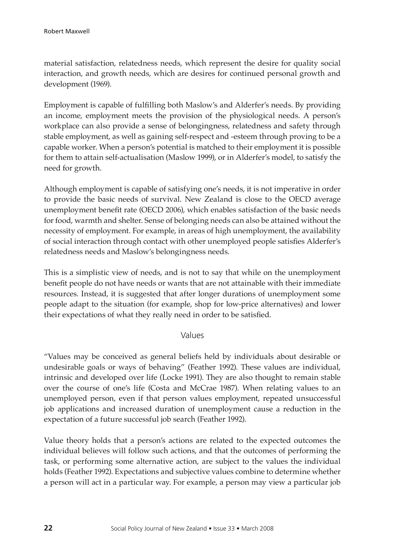material satisfaction, relatedness needs, which represent the desire for quality social interaction, and growth needs, which are desires for continued personal growth and development (1969).

Employment is capable of fulfilling both Maslow's and Alderfer's needs. By providing an income, employment meets the provision of the physiological needs. A person's workplace can also provide a sense of belongingness, relatedness and safety through stable employment, as well as gaining self-respect and -esteem through proving to be a capable worker. When a person's potential is matched to their employment it is possible for them to attain self-actualisation (Maslow 1999), or in Alderfer's model, to satisfy the need for growth.

Although employment is capable of satisfying one's needs, it is not imperative in order to provide the basic needs of survival. New Zealand is close to the OECD average unemployment benefit rate (OECD 2006), which enables satisfaction of the basic needs for food, warmth and shelter. Sense of belonging needs can also be attained without the necessity of employment. For example, in areas of high unemployment, the availability of social interaction through contact with other unemployed people satisfies Alderfer's relatedness needs and Maslow's belongingness needs.

This is a simplistic view of needs, and is not to say that while on the unemployment benefit people do not have needs or wants that are not attainable with their immediate resources. Instead, it is suggested that after longer durations of unemployment some people adapt to the situation (for example, shop for low-price alternatives) and lower their expectations of what they really need in order to be satisfied.

## Values

"Values may be conceived as general beliefs held by individuals about desirable or undesirable goals or ways of behaving" (Feather 1992). These values are individual, intrinsic and developed over life (Locke 1991). They are also thought to remain stable over the course of one's life (Costa and McCrae 1987). When relating values to an unemployed person, even if that person values employment, repeated unsuccessful job applications and increased duration of unemployment cause a reduction in the expectation of a future successful job search (Feather 1992).

Value theory holds that a person's actions are related to the expected outcomes the individual believes will follow such actions, and that the outcomes of performing the task, or performing some alternative action, are subject to the values the individual holds (Feather 1992). Expectations and subjective values combine to determine whether a person will act in a particular way. For example, a person may view a particular job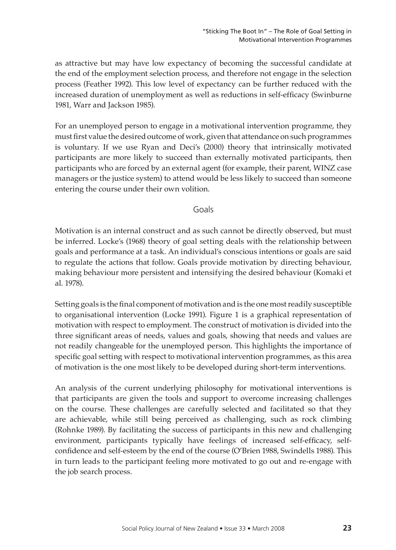as attractive but may have low expectancy of becoming the successful candidate at the end of the employment selection process, and therefore not engage in the selection process (Feather 1992). This low level of expectancy can be further reduced with the increased duration of unemployment as well as reductions in self-efficacy (Swinburne 1981, Warr and Jackson 1985).

For an unemployed person to engage in a motivational intervention programme, they must first value the desired outcome of work, given that attendance on such programmes is voluntary. If we use Ryan and Deci's (2000) theory that intrinsically motivated participants are more likely to succeed than externally motivated participants, then participants who are forced by an external agent (for example, their parent, WINZ case managers or the justice system) to attend would be less likely to succeed than someone entering the course under their own volition.

Goals

Motivation is an internal construct and as such cannot be directly observed, but must be inferred. Locke's (1968) theory of goal setting deals with the relationship between goals and performance at a task. An individual's conscious intentions or goals are said to regulate the actions that follow. Goals provide motivation by directing behaviour, making behaviour more persistent and intensifying the desired behaviour (Komaki et al. 1978).

Setting goals is the final component of motivation and is the one most readily susceptible to organisational intervention (Locke 1991). Figure 1 is a graphical representation of motivation with respect to employment. The construct of motivation is divided into the three significant areas of needs, values and goals, showing that needs and values are not readily changeable for the unemployed person. This highlights the importance of specific goal setting with respect to motivational intervention programmes, as this area of motivation is the one most likely to be developed during short-term interventions.

An analysis of the current underlying philosophy for motivational interventions is that participants are given the tools and support to overcome increasing challenges on the course. These challenges are carefully selected and facilitated so that they are achievable, while still being perceived as challenging, such as rock climbing (Rohnke 1989). By facilitating the success of participants in this new and challenging environment, participants typically have feelings of increased self-efficacy, selfconfidence and self-esteem by the end of the course (O'Brien 1988, Swindells 1988). This in turn leads to the participant feeling more motivated to go out and re-engage with the job search process.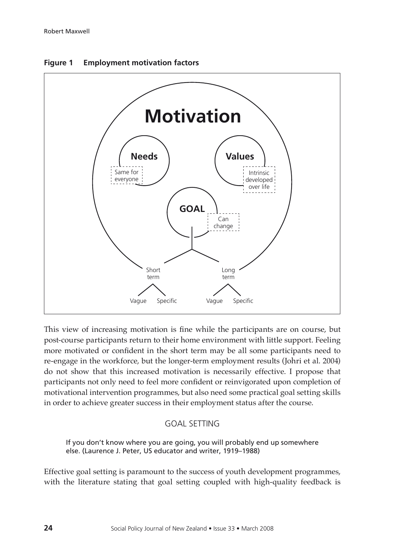

**Figure 1 Employment motivation factors**

This view of increasing motivation is fine while the participants are on course, but post-course participants return to their home environment with little support. Feeling more motivated or confident in the short term may be all some participants need to re-engage in the workforce, but the longer-term employment results (Johri et al. 2004) do not show that this increased motivation is necessarily effective. I propose that participants not only need to feel more confident or reinvigorated upon completion of motivational intervention programmes, but also need some practical goal setting skills in order to achieve greater success in their employment status after the course.

# GOAL SETTING

If you don't know where you are going, you will probably end up somewhere else. (Laurence J. Peter, US educator and writer, 1919–1988)

Effective goal setting is paramount to the success of youth development programmes, with the literature stating that goal setting coupled with high-quality feedback is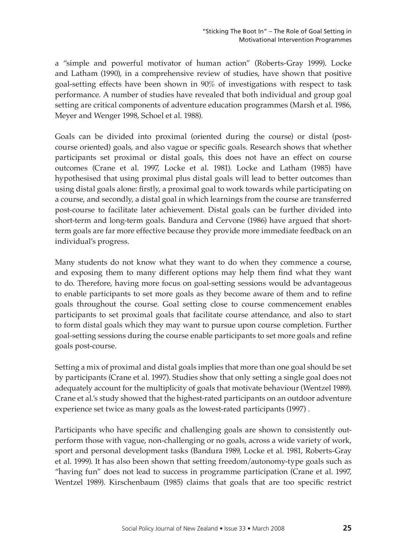a "simple and powerful motivator of human action" (Roberts-Gray 1999). Locke and Latham (1990), in a comprehensive review of studies, have shown that positive goal-setting effects have been shown in 90% of investigations with respect to task performance. A number of studies have revealed that both individual and group goal setting are critical components of adventure education programmes (Marsh et al. 1986, Meyer and Wenger 1998, Schoel et al. 1988).

Goals can be divided into proximal (oriented during the course) or distal (postcourse oriented) goals, and also vague or specific goals. Research shows that whether participants set proximal or distal goals, this does not have an effect on course outcomes (Crane et al. 1997, Locke et al. 1981). Locke and Latham (1985) have hypothesised that using proximal plus distal goals will lead to better outcomes than using distal goals alone: firstly, a proximal goal to work towards while participating on a course, and secondly, a distal goal in which learnings from the course are transferred post-course to facilitate later achievement. Distal goals can be further divided into short-term and long-term goals. Bandura and Cervone (1986) have argued that shortterm goals are far more effective because they provide more immediate feedback on an individual's progress.

Many students do not know what they want to do when they commence a course, and exposing them to many different options may help them find what they want to do. Therefore, having more focus on goal-setting sessions would be advantageous to enable participants to set more goals as they become aware of them and to refine goals throughout the course. Goal setting close to course commencement enables participants to set proximal goals that facilitate course attendance, and also to start to form distal goals which they may want to pursue upon course completion. Further goal-setting sessions during the course enable participants to set more goals and refine goals post-course.

Setting a mix of proximal and distal goals implies that more than one goal should be set by participants (Crane et al. 1997). Studies show that only setting a single goal does not adequately account for the multiplicity of goals that motivate behaviour (Wentzel 1989). Crane et al.'s study showed that the highest-rated participants on an outdoor adventure experience set twice as many goals as the lowest-rated participants (1997) .

Participants who have specific and challenging goals are shown to consistently outperform those with vague, non-challenging or no goals, across a wide variety of work, sport and personal development tasks (Bandura 1989, Locke et al. 1981, Roberts-Gray et al. 1999). It has also been shown that setting freedom/autonomy-type goals such as "having fun" does not lead to success in programme participation (Crane et al. 1997, Wentzel 1989). Kirschenbaum (1985) claims that goals that are too specific restrict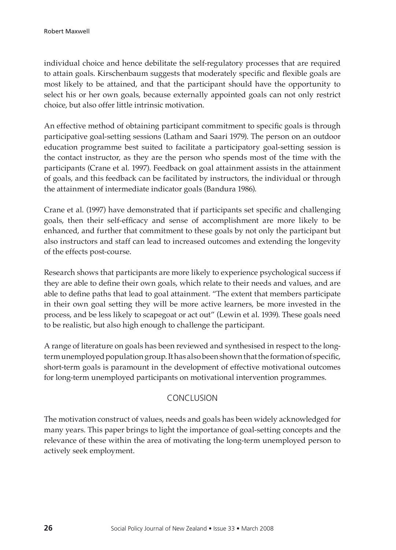individual choice and hence debilitate the self-regulatory processes that are required to attain goals. Kirschenbaum suggests that moderately specific and flexible goals are most likely to be attained, and that the participant should have the opportunity to select his or her own goals, because externally appointed goals can not only restrict choice, but also offer little intrinsic motivation.

An effective method of obtaining participant commitment to specific goals is through participative goal-setting sessions (Latham and Saari 1979). The person on an outdoor education programme best suited to facilitate a participatory goal-setting session is the contact instructor, as they are the person who spends most of the time with the participants (Crane et al. 1997). Feedback on goal attainment assists in the attainment of goals, and this feedback can be facilitated by instructors, the individual or through the attainment of intermediate indicator goals (Bandura 1986).

Crane et al. (1997) have demonstrated that if participants set specific and challenging goals, then their self-efficacy and sense of accomplishment are more likely to be enhanced, and further that commitment to these goals by not only the participant but also instructors and staff can lead to increased outcomes and extending the longevity of the effects post-course.

Research shows that participants are more likely to experience psychological success if they are able to define their own goals, which relate to their needs and values, and are able to define paths that lead to goal attainment. "The extent that members participate in their own goal setting they will be more active learners, be more invested in the process, and be less likely to scapegoat or act out" (Lewin et al. 1939). These goals need to be realistic, but also high enough to challenge the participant.

A range of literature on goals has been reviewed and synthesised in respect to the longterm unemployed population group. It has also been shown that the formation of specific, short-term goals is paramount in the development of effective motivational outcomes for long-term unemployed participants on motivational intervention programmes.

# CONCLUSION

The motivation construct of values, needs and goals has been widely acknowledged for many years. This paper brings to light the importance of goal-setting concepts and the relevance of these within the area of motivating the long-term unemployed person to actively seek employment.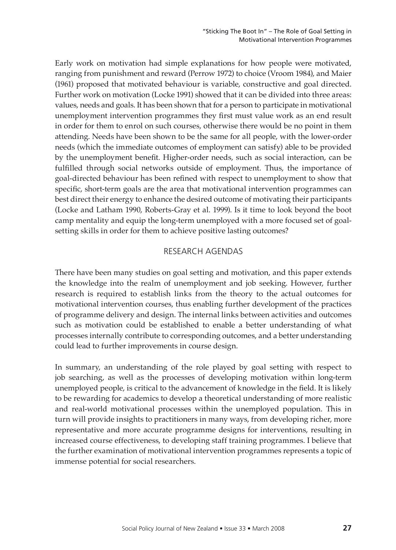Early work on motivation had simple explanations for how people were motivated, ranging from punishment and reward (Perrow 1972) to choice (Vroom 1984), and Maier (1961) proposed that motivated behaviour is variable, constructive and goal directed. Further work on motivation (Locke 1991) showed that it can be divided into three areas: values, needs and goals. It has been shown that for a person to participate in motivational unemployment intervention programmes they first must value work as an end result in order for them to enrol on such courses, otherwise there would be no point in them attending. Needs have been shown to be the same for all people, with the lower-order needs (which the immediate outcomes of employment can satisfy) able to be provided by the unemployment benefit. Higher-order needs, such as social interaction, can be fulfilled through social networks outside of employment. Thus, the importance of goal-directed behaviour has been refined with respect to unemployment to show that specific, short-term goals are the area that motivational intervention programmes can best direct their energy to enhance the desired outcome of motivating their participants (Locke and Latham 1990, Roberts-Gray et al. 1999). Is it time to look beyond the boot camp mentality and equip the long-term unemployed with a more focused set of goalsetting skills in order for them to achieve positive lasting outcomes?

## RESEARCH AGENDAS

There have been many studies on goal setting and motivation, and this paper extends the knowledge into the realm of unemployment and job seeking. However, further research is required to establish links from the theory to the actual outcomes for motivational intervention courses, thus enabling further development of the practices of programme delivery and design. The internal links between activities and outcomes such as motivation could be established to enable a better understanding of what processes internally contribute to corresponding outcomes, and a better understanding could lead to further improvements in course design.

In summary, an understanding of the role played by goal setting with respect to job searching, as well as the processes of developing motivation within long-term unemployed people, is critical to the advancement of knowledge in the field. It is likely to be rewarding for academics to develop a theoretical understanding of more realistic and real-world motivational processes within the unemployed population. This in turn will provide insights to practitioners in many ways, from developing richer, more representative and more accurate programme designs for interventions, resulting in increased course effectiveness, to developing staff training programmes. I believe that the further examination of motivational intervention programmes represents a topic of immense potential for social researchers.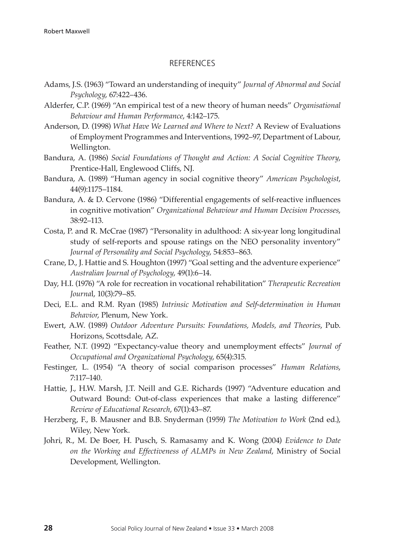## REFERENCES

- Adams, J.S. (1963) "Toward an understanding of inequity" *Journal of Abnormal and Social Psychology*, 67:422–436.
- Alderfer, C.P. (1969) "An empirical test of a new theory of human needs" *Organisational Behaviour and Human Performance*, 4:142–175.
- Anderson, D. (1998) *What Have We Learned and Where to Next?* A Review of Evaluations of Employment Programmes and Interventions, 1992–97, Department of Labour, Wellington.
- Bandura, A. (1986) *Social Foundations of Thought and Action: A Social Cognitive Theory*, Prentice-Hall, Englewood Cliffs, NJ.
- Bandura, A. (1989) "Human agency in social cognitive theory" *American Psychologist*, 44(9):1175–1184.
- Bandura, A. & D. Cervone (1986) "Differential engagements of self-reactive influences in cognitive motivation" *Organizational Behaviour and Human Decision Processes*, 38:92–113.
- Costa, P. and R. McCrae (1987) "Personality in adulthood: A six-year long longitudinal study of self-reports and spouse ratings on the NEO personality inventory" *Journal of Personality and Social Psychology*, 54:853–863.
- Crane, D., J. Hattie and S. Houghton (1997) "Goal setting and the adventure experience" *Australian Journal of Psychology*, 49(1):6–14.
- Day, H.I. (1976) "A role for recreation in vocational rehabilitation" *Therapeutic Recreation Journa*l, 10(3):79–85.
- Deci, E.L. and R.M. Ryan (1985) *Intrinsic Motivation and Self-determination in Human Behavior*, Plenum, New York.
- Ewert, A.W. (1989) *Outdoor Adventure Pursuits: Foundations, Models, and Theories*, Pub. Horizons, Scottsdale, AZ.
- Feather, N.T. (1992) "Expectancy-value theory and unemployment effects" *Journal of Occupational and Organizational Psychology*, 65(4):315.
- Festinger, L. (1954) "A theory of social comparison processes" *Human Relations*, 7:117–140.
- Hattie, J., H.W. Marsh, J.T. Neill and G.E. Richards (1997) "Adventure education and Outward Bound: Out-of-class experiences that make a lasting difference" *Review of Educational Research*, 67(1):43–87.
- Herzberg, F., B. Mausner and B.B. Snyderman (1959) *The Motivation to Work* (2nd ed.), Wiley, New York.
- Johri, R., M. De Boer, H. Pusch, S. Ramasamy and K. Wong (2004) *Evidence to Date on the Working and Effectiveness of ALMPs in New Zealand*, Ministry of Social Development, Wellington.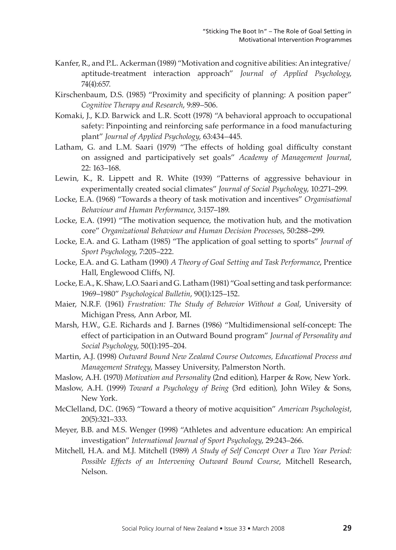- Kanfer, R., and P.L. Ackerman (1989) "Motivation and cognitive abilities: An integrative/ aptitude-treatment interaction approach" *Journal of Applied Psychology*, 74(4):657.
- Kirschenbaum, D.S. (1985) "Proximity and specificity of planning: A position paper" *Cognitive Therapy and Research*, 9:89–506.
- Komaki, J., K.D. Barwick and L.R. Scott (1978) "A behavioral approach to occupational safety: Pinpointing and reinforcing safe performance in a food manufacturing plant" *Journal of Applied Psychology*, 63:434–445.
- Latham, G. and L.M. Saari (1979) "The effects of holding goal difficulty constant on assigned and participatively set goals" *Academy of Management Journal*, 22: 163–168.
- Lewin, K., R. Lippett and R. White (1939) "Patterns of aggressive behaviour in experimentally created social climates" *Journal of Social Psychology*, 10:271–299.
- Locke, E.A. (1968) "Towards a theory of task motivation and incentives" *Organisational Behaviour and Human Performance*, 3:157–189.
- Locke, E.A. (1991) "The motivation sequence, the motivation hub, and the motivation core" *Organizational Behaviour and Human Decision Processes*, 50:288–299.
- Locke, E.A. and G. Latham (1985) "The application of goal setting to sports" *Journal of Sport Psychology*, 7:205–222.
- Locke, E.A. and G. Latham (1990) *A Theory of Goal Setting and Task Performance*, Prentice Hall, Englewood Cliffs, NJ.
- Locke, E.A., K. Shaw, L.O. Saari and G. Latham (1981) "Goal setting and task performance: 1969–1980" *Psychological Bulletin*, 90(1):125–152.
- Maier, N.R.F. (1961) *Frustration: The Study of Behavior Without a Goal*, University of Michigan Press, Ann Arbor, MI.
- Marsh, H.W., G.E. Richards and J. Barnes (1986) "Multidimensional self-concept: The effect of participation in an Outward Bound program" *Journal of Personality and Social Psychology*, 50(1):195–204.
- Martin, A.J. (1998) *Outward Bound New Zealand Course Outcomes, Educational Process and Management Strategy*, Massey University, Palmerston North.
- Maslow, A.H. (1970) *Motivation and Personality* (2nd edition), Harper & Row, New York.
- Maslow, A.H. (1999) *Toward a Psychology of Being* (3rd edition), John Wiley & Sons, New York.
- McClelland, D.C. (1965) "Toward a theory of motive acquisition" *American Psychologist*, 20(5):321–333.
- Meyer, B.B. and M.S. Wenger (1998) "Athletes and adventure education: An empirical investigation" *International Journal of Sport Psychology*, 29:243–266.
- Mitchell, H.A. and M.J. Mitchell (1989) *A Study of Self Concept Over a Two Year Period: Possible Effects of an Intervening Outward Bound Course*, Mitchell Research, Nelson.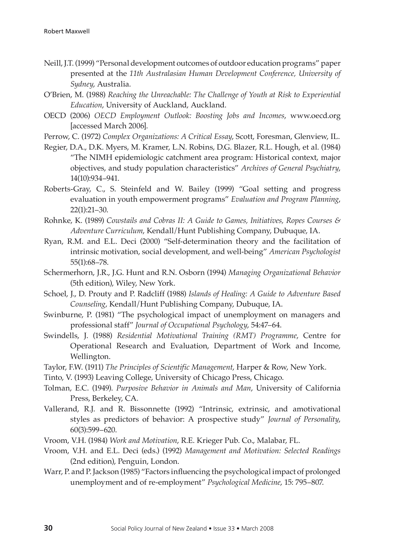- Neill, J.T. (1999) "Personal development outcomes of outdoor education programs" paper presented at the *11th Australasian Human Development Conference, University of Sydney*, Australia.
- O'Brien, M. (1988) *Reaching the Unreachable: The Challenge of Youth at Risk to Experiential Education*, University of Auckland, Auckland.
- OECD (2006) *OECD Employment Outlook: Boosting Jobs and Incomes*, www.oecd.org [accessed March 2006].
- Perrow, C. (1972) *Complex Organizations: A Critical Essay*, Scott, Foresman, Glenview, IL.
- Regier, D.A., D.K. Myers, M. Kramer, L.N. Robins, D.G. Blazer, R.L. Hough, et al. (1984) "The NIMH epidemiologic catchment area program: Historical context, major objectives, and study population characteristics" *Archives of General Psychiatry*, 14(10):934–941.
- Roberts-Gray, C., S. Steinfeld and W. Bailey (1999) "Goal setting and progress evaluation in youth empowerment programs" *Evaluation and Program Planning*, 22(1):21–30.
- Rohnke, K. (1989) *Cowstails and Cobras II: A Guide to Games, Initiatives, Ropes Courses & Adventure Curriculum*, Kendall/Hunt Publishing Company, Dubuque, IA.
- Ryan, R.M. and E.L. Deci (2000) "Self-determination theory and the facilitation of intrinsic motivation, social development, and well-being" *American Psychologist* 55(1):68–78.
- Schermerhorn, J.R., J.G. Hunt and R.N. Osborn (1994) *Managing Organizational Behavior* (5th edition), Wiley, New York.
- Schoel, J., D. Prouty and P. Radcliff (1988) *Islands of Healing: A Guide to Adventure Based Counseling*, Kendall/Hunt Publishing Company, Dubuque, IA.
- Swinburne, P. (1981) "The psychological impact of unemployment on managers and professional staff" *Journal of Occupational Psychology*, 54:47–64.
- Swindells, J. (1988) *Residential Motivational Training (RMT) Programme*, Centre for Operational Research and Evaluation, Department of Work and Income, Wellington.
- Taylor, F.W. (1911) *The Principles of Scientific Management*, Harper & Row, New York.
- Tinto, V. (1993) Leaving College, University of Chicago Press, Chicago.
- Tolman, E.C. (1949). *Purposive Behavior in Animals and Man*, University of California Press, Berkeley, CA.
- Vallerand, R.J. and R. Bissonnette (1992) "Intrinsic, extrinsic, and amotivational styles as predictors of behavior: A prospective study" *Journal of Personality*, 60(3):599–620.
- Vroom, V.H. (1984) *Work and Motivation*, R.E. Krieger Pub. Co., Malabar, FL.
- Vroom, V.H. and E.L. Deci (eds.) (1992) *Management and Motivation: Selected Readings* (2nd edition), Penguin, London.
- Warr, P. and P. Jackson (1985) "Factors influencing the psychological impact of prolonged unemployment and of re-employment" *Psychological Medicine*, 15: 795–807.